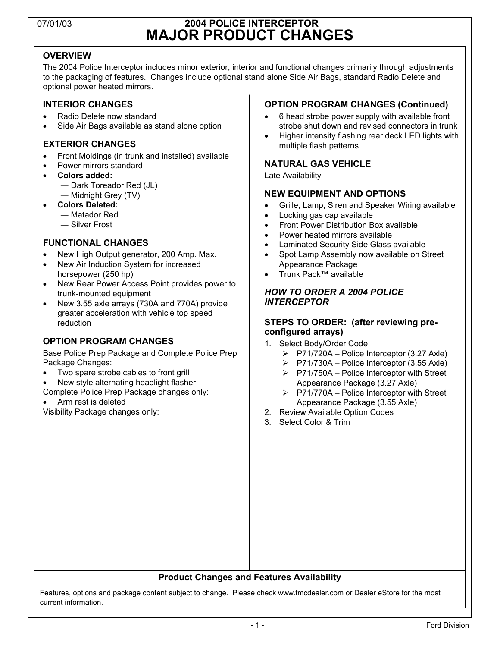# 07/01/03 **2004 POLICE INTERCEPTOR MAJOR PRODUCT CHANGES**

## **OVERVIEW**

The 2004 Police Interceptor includes minor exterior, interior and functional changes primarily through adjustments to the packaging of features. Changes include optional stand alone Side Air Bags, standard Radio Delete and optional power heated mirrors.

## **INTERIOR CHANGES**

- Radio Delete now standard
- Side Air Bags available as stand alone option

## **EXTERIOR CHANGES**

- Front Moldings (in trunk and installed) available
- Power mirrors standard
- **Colors added:** 
	- ― Dark Toreador Red (JL) ― Midnight Grey (TV)
- **Colors Deleted:** 
	- ― Matador Red
	- ― Silver Frost

## **FUNCTIONAL CHANGES**

- New High Output generator, 200 Amp. Max.
- New Air Induction System for increased horsepower (250 hp)
- New Rear Power Access Point provides power to trunk-mounted equipment
- New 3.55 axle arrays (730A and 770A) provide greater acceleration with vehicle top speed reduction

## **OPTION PROGRAM CHANGES**

Base Police Prep Package and Complete Police Prep Package Changes:

- Two spare strobe cables to front grill
- New style alternating headlight flasher
- Complete Police Prep Package changes only:

## • Arm rest is deleted

Visibility Package changes only:

## **OPTION PROGRAM CHANGES (Continued)**

- 6 head strobe power supply with available front strobe shut down and revised connectors in trunk
- Higher intensity flashing rear deck LED lights with multiple flash patterns

## **NATURAL GAS VEHICLE**

Late Availability

## **NEW EQUIPMENT AND OPTIONS**

- Grille, Lamp, Siren and Speaker Wiring available
- Locking gas cap available
- Front Power Distribution Box available
- Power heated mirrors available
- Laminated Security Side Glass available
- Spot Lamp Assembly now available on Street Appearance Package
- Trunk Pack™ available

## *HOW TO ORDER A 2004 POLICE INTERCEPTOR*

### **STEPS TO ORDER: (after reviewing preconfigured arrays)**

- 1. Select Body/Order Code
	- $\triangleright$  P71/720A Police Interceptor (3.27 Axle)
	- $\triangleright$  P71/730A Police Interceptor (3.55 Axle)
	- $\triangleright$  P71/750A Police Interceptor with Street Appearance Package (3.27 Axle)
	- $\triangleright$  P71/770A Police Interceptor with Street Appearance Package (3.55 Axle)
- 2. Review Available Option Codes
- 3. Select Color & Trim

## **Product Changes and Features Availability**

Features, options and package content subject to change. Please check www.fmcdealer.com or Dealer eStore for the most current information.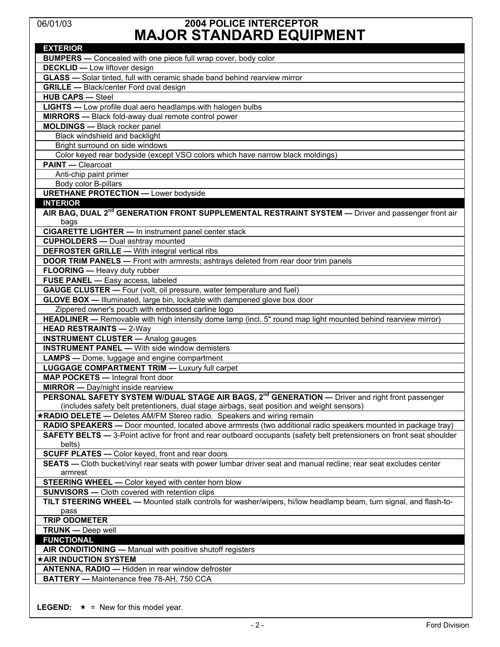# 06/01/03 **2004 POLICE INTERCEPTOR MAJOR STANDARD EQUIPMENT**

| <b>EXTERIOR</b>                                                                                                       |
|-----------------------------------------------------------------------------------------------------------------------|
| <b>BUMPERS</b> - Concealed with one piece full wrap cover, body color                                                 |
| <b>DECKLID - Low liftover design</b>                                                                                  |
| GLASS - Solar tinted, full with ceramic shade band behind rearview mirror                                             |
| <b>GRILLE</b> - Black/center Ford oval design                                                                         |
| <b>HUB CAPS - Steel</b>                                                                                               |
| LIGHTS - Low profile dual aero headlamps with halogen bulbs                                                           |
| <b>MIRRORS</b> - Black fold-away dual remote control power                                                            |
| <b>MOLDINGS</b> - Black rocker panel                                                                                  |
| Black windshield and backlight                                                                                        |
| Bright surround on side windows                                                                                       |
| Color keyed rear bodyside (except VSO colors which have narrow black moldings)                                        |
| <b>PAINT</b> — Clearcoat                                                                                              |
| Anti-chip paint primer                                                                                                |
| Body color B-pillars                                                                                                  |
| <b>URETHANE PROTECTION - Lower bodyside</b>                                                                           |
| <b>INTERIOR</b>                                                                                                       |
| AIR BAG, DUAL 2 <sup>nd</sup> GENERATION FRONT SUPPLEMENTAL RESTRAINT SYSTEM - Driver and passenger front air         |
| bags                                                                                                                  |
| <b>CIGARETTE LIGHTER - In instrument panel center stack</b>                                                           |
| <b>CUPHOLDERS</b> - Dual ashtray mounted                                                                              |
| <b>DEFROSTER GRILLE - With integral vertical ribs</b>                                                                 |
| <b>DOOR TRIM PANELS —</b> Front with armrests; ashtrays deleted from rear door trim panels                            |
|                                                                                                                       |
| FLOORING - Heavy duty rubber                                                                                          |
| FUSE PANEL - Easy access, labeled                                                                                     |
| <b>GAUGE CLUSTER</b> - Four (volt, oil pressure, water temperature and fuel)                                          |
| <b>GLOVE BOX -</b> Illuminated, large bin, lockable with dampened glove box door                                      |
| Zippered owner's pouch with embossed carline logo                                                                     |
| HEADLINER - Removable with high intensity dome lamp (incl. 5" round map light mounted behind rearview mirror)         |
| <b>HEAD RESTRAINTS - 2-Way</b>                                                                                        |
| <b>INSTRUMENT CLUSTER - Analog gauges</b>                                                                             |
| <b>INSTRUMENT PANEL - With side window demisters</b>                                                                  |
| <b>LAMPS</b> — Dome, luggage and engine compartment                                                                   |
| <b>LUGGAGE COMPARTMENT TRIM - Luxury full carpet</b>                                                                  |
| MAP POCKETS - Integral front door                                                                                     |
| <b>MIRROR</b> - Day/night inside rearview                                                                             |
| PERSONAL SAFETY SYSTEM W/DUAL STAGE AIR BAGS, 2 <sup>nd</sup> GENERATION — Driver and right front passenger           |
| (includes safety belt pretentioners, dual stage airbags, seat position and weight sensors)                            |
| *RADIO DELETE - Deletes AM/FM Stereo radio. Speakers and wiring remain                                                |
| RADIO SPEAKERS - Door mounted, located above armrests (two additional radio speakers mounted in package tray)         |
| SAFETY BELTS - 3-Point active for front and rear outboard occupants (safety belt pretensioners on front seat shoulder |
| belts)                                                                                                                |
| <b>SCUFF PLATES -</b> Color keyed, front and rear doors                                                               |
| SEATS - Cloth bucket/vinyl rear seats with power lumbar driver seat and manual recline; rear seat excludes center     |
| armrest                                                                                                               |
| <b>STEERING WHEEL -</b> Color keyed with center horn blow                                                             |
| <b>SUNVISORS</b> - Cloth covered with retention clips                                                                 |
| TILT STEERING WHEEL - Mounted stalk controls for washer/wipers, hi/low headlamp beam, turn signal, and flash-to-      |
| pass                                                                                                                  |
| <b>TRIP ODOMETER</b>                                                                                                  |
| <b>TRUNK</b> - Deep well                                                                                              |
| <b>FUNCTIONAL</b>                                                                                                     |
| AIR CONDITIONING - Manual with positive shutoff registers                                                             |
| *AIR INDUCTION SYSTEM                                                                                                 |
| <b>ANTENNA, RADIO</b> - Hidden in rear window defroster                                                               |
| BATTERY - Maintenance free 78-AH, 750 CCA                                                                             |
|                                                                                                                       |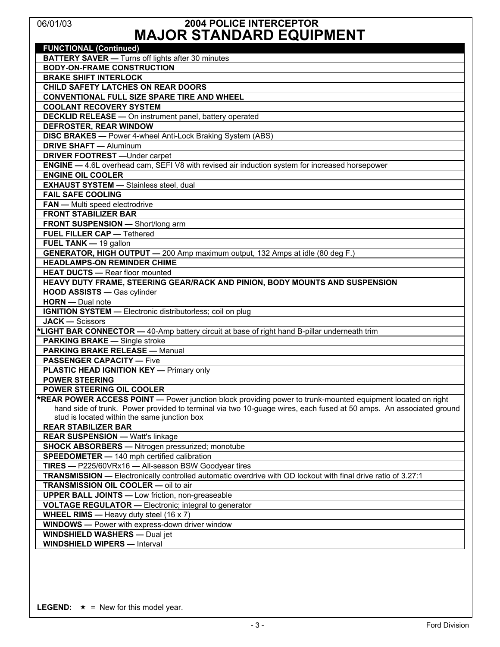# 06/01/03 **2004 POLICE INTERCEPTOR MAJOR STANDARD EQUIPMENT**

| MAVVIL VIANDAND LQVII MEN I<br><b>FUNCTIONAL (Continued)</b>                                                       |
|--------------------------------------------------------------------------------------------------------------------|
| <b>BATTERY SAVER - Turns off lights after 30 minutes</b>                                                           |
| <b>BODY-ON-FRAME CONSTRUCTION</b>                                                                                  |
|                                                                                                                    |
| <b>BRAKE SHIFT INTERLOCK</b>                                                                                       |
| <b>CHILD SAFETY LATCHES ON REAR DOORS</b>                                                                          |
| CONVENTIONAL FULL SIZE SPARE TIRE AND WHEEL                                                                        |
| <b>COOLANT RECOVERY SYSTEM</b>                                                                                     |
| <b>DECKLID RELEASE - On instrument panel, battery operated</b>                                                     |
| DEFROSTER, REAR WINDOW                                                                                             |
| DISC BRAKES - Power 4-wheel Anti-Lock Braking System (ABS)                                                         |
| <b>DRIVE SHAFT - Aluminum</b>                                                                                      |
| <b>DRIVER FOOTREST</b> - Under carpet                                                                              |
| <b>ENGINE</b> - 4.6L overhead cam, SEFI V8 with revised air induction system for increased horsepower              |
| <b>ENGINE OIL COOLER</b>                                                                                           |
| <b>EXHAUST SYSTEM - Stainless steel, dual</b>                                                                      |
| <b>FAIL SAFE COOLING</b>                                                                                           |
| FAN - Multi speed electrodrive                                                                                     |
| <b>FRONT STABILIZER BAR</b>                                                                                        |
| FRONT SUSPENSION - Short/long arm                                                                                  |
| <b>FUEL FILLER CAP - Tethered</b>                                                                                  |
| FUEL TANK - 19 gallon                                                                                              |
| GENERATOR, HIGH OUTPUT - 200 Amp maximum output, 132 Amps at idle (80 deg F.)                                      |
| <b>HEADLAMPS-ON REMINDER CHIME</b>                                                                                 |
| <b>HEAT DUCTS - Rear floor mounted</b>                                                                             |
| HEAVY DUTY FRAME, STEERING GEAR/RACK AND PINION, BODY MOUNTS AND SUSPENSION                                        |
| HOOD ASSISTS - Gas cylinder                                                                                        |
| HORN - Dual note                                                                                                   |
| IGNITION SYSTEM - Electronic distributorless; coil on plug                                                         |
| <b>JACK - Scissors</b>                                                                                             |
| *LIGHT BAR CONNECTOR - 40-Amp battery circuit at base of right hand B-pillar underneath trim                       |
| <b>PARKING BRAKE - Single stroke</b>                                                                               |
| <b>PARKING BRAKE RELEASE - Manual</b>                                                                              |
| <b>PASSENGER CAPACITY — Five</b>                                                                                   |
| <b>PLASTIC HEAD IGNITION KEY - Primary only</b>                                                                    |
| <b>POWER STEERING</b>                                                                                              |
| POWER STEERING OIL COOLER                                                                                          |
| *REAR POWER ACCESS POINT — Power junction block providing power to trunk-mounted equipment located on right        |
| hand side of trunk. Power provided to terminal via two 10-guage wires, each fused at 50 amps. An associated ground |
| stud is located within the same junction box                                                                       |
| <b>REAR STABILIZER BAR</b>                                                                                         |
| <b>REAR SUSPENSION - Watt's linkage</b>                                                                            |
| <b>SHOCK ABSORBERS - Nitrogen pressurized; monotube</b>                                                            |
| SPEEDOMETER - 140 mph certified calibration                                                                        |
| TIRES - P225/60VRx16 - All-season BSW Goodyear tires                                                               |
| TRANSMISSION - Electronically controlled automatic overdrive with OD lockout with final drive ratio of 3.27:1      |
| <b>TRANSMISSION OIL COOLER - oil to air</b>                                                                        |
|                                                                                                                    |
| <b>UPPER BALL JOINTS - Low friction, non-greaseable</b>                                                            |
| <b>VOLTAGE REGULATOR -</b> Electronic; integral to generator                                                       |
| <b>WHEEL RIMS</b> - Heavy duty steel $(16 \times 7)$                                                               |
| <b>WINDOWS</b> - Power with express-down driver window                                                             |
| <b>WINDSHIELD WASHERS - Dual jet</b>                                                                               |
| <b>WINDSHIELD WIPERS - Interval</b>                                                                                |
|                                                                                                                    |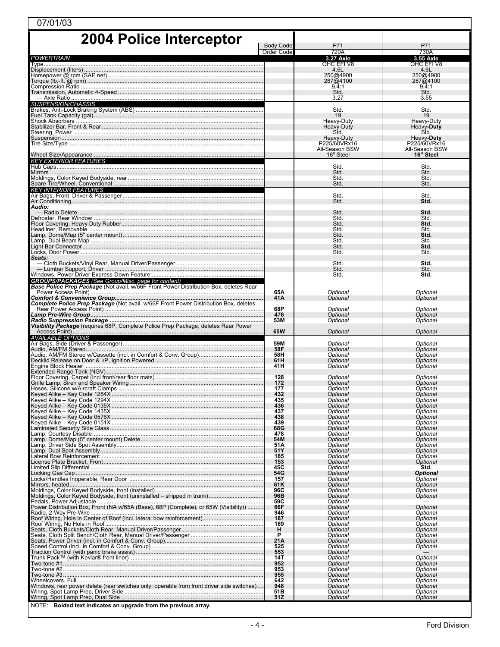| 07/01/03                                                                                                                                    |                  |                                |                                |  |  |  |
|---------------------------------------------------------------------------------------------------------------------------------------------|------------------|--------------------------------|--------------------------------|--|--|--|
| <b>2004 Police Interceptor</b>                                                                                                              |                  |                                |                                |  |  |  |
|                                                                                                                                             | <b>Body Code</b> | P71                            | P71                            |  |  |  |
|                                                                                                                                             | Order Code       | 720A                           | 730A                           |  |  |  |
| <b>POWERTRAIN</b><br>Type                                                                                                                   |                  | 3.27 Axle<br>OHC EFI V8        | 3.55 Axle<br>OHC EFI V8        |  |  |  |
|                                                                                                                                             |                  | 4.6L                           | 4.6L                           |  |  |  |
|                                                                                                                                             |                  | 250@4900                       | 250@4900                       |  |  |  |
|                                                                                                                                             |                  | 287@4100                       | 287@4100                       |  |  |  |
|                                                                                                                                             |                  | 9.4:1                          | 9.4:1                          |  |  |  |
|                                                                                                                                             |                  | Std.                           | Std.                           |  |  |  |
| <b>SUSPENSION/CHASSIS</b>                                                                                                                   |                  | 3.27                           | 3.55                           |  |  |  |
|                                                                                                                                             |                  | Std.                           | Std.                           |  |  |  |
|                                                                                                                                             |                  | 19                             | 19                             |  |  |  |
|                                                                                                                                             |                  | Heavy-Duty                     | Heavy-Duty                     |  |  |  |
|                                                                                                                                             |                  | Heavy-Duty                     | Heavy-Duty                     |  |  |  |
|                                                                                                                                             |                  | Std.                           | Std.                           |  |  |  |
|                                                                                                                                             |                  | Heavy-Duty                     | Heavy-Duty                     |  |  |  |
|                                                                                                                                             |                  | P225/60VRx16<br>All-Season BSW | P225/60VRx16<br>All-Season BSW |  |  |  |
| <b>KEY EXTERIOR FEATURES</b>                                                                                                                |                  | 16" Steel                      | 16" Steel                      |  |  |  |
|                                                                                                                                             |                  | Std.                           | Std.                           |  |  |  |
|                                                                                                                                             |                  | Std.                           | Std.                           |  |  |  |
|                                                                                                                                             |                  | Std.                           | Std.                           |  |  |  |
|                                                                                                                                             |                  | Std.                           | Std.                           |  |  |  |
| <b>KEY INTERIOR FEATURES</b>                                                                                                                |                  | Std.                           | Std.                           |  |  |  |
| Audio:                                                                                                                                      |                  | Std.                           | Std.                           |  |  |  |
|                                                                                                                                             |                  | Std.                           | Std.                           |  |  |  |
|                                                                                                                                             |                  | Std.                           | Std.                           |  |  |  |
|                                                                                                                                             |                  | Std.                           | Std.                           |  |  |  |
|                                                                                                                                             |                  | Std.                           | Std.                           |  |  |  |
|                                                                                                                                             |                  | Std.                           | Std.                           |  |  |  |
|                                                                                                                                             |                  | Std.                           | Std.                           |  |  |  |
|                                                                                                                                             |                  | Std.                           | Std.                           |  |  |  |
| Seats:                                                                                                                                      |                  | Std.                           | Std.                           |  |  |  |
|                                                                                                                                             |                  | Std.                           | Std.                           |  |  |  |
|                                                                                                                                             |                  | Std.                           | Std.                           |  |  |  |
| GROUPS/PACKAGES (See Group/Misc. page for content)<br>Base Police Prep Package (Not avail. w/66F Front Power Distribution Box, deletes Rear |                  | Std.                           | Std.                           |  |  |  |
|                                                                                                                                             | 65A              | Optional                       | Optional                       |  |  |  |
| Complete Police Prep Package (Not avail. w/66F Front Power Distribution Box, deletes                                                        | 41A              | Optional                       | Optional                       |  |  |  |
|                                                                                                                                             | 68P              | Optional                       | Optional                       |  |  |  |
|                                                                                                                                             | 476              | Optional                       | Optional                       |  |  |  |
| Visibility Package (requires 68P, Complete Police Prep Package, deletes Rear Power                                                          | 53M              | Optional                       | Optional                       |  |  |  |
| <b>AVAILABLE OPTIONS</b>                                                                                                                    | 65W              | Optional                       | Optional                       |  |  |  |
|                                                                                                                                             | 59M              | Optional                       | Optional                       |  |  |  |
|                                                                                                                                             | 58F              | Optional                       | Optional                       |  |  |  |
|                                                                                                                                             | 58H              | Optional                       | Optional                       |  |  |  |
|                                                                                                                                             | 61H              | Optional                       | Optional                       |  |  |  |
|                                                                                                                                             | 41H              | Optional                       | Optional                       |  |  |  |
|                                                                                                                                             | 128              | Optional                       | Optional                       |  |  |  |
|                                                                                                                                             | 172              | Optional                       | Optional                       |  |  |  |
|                                                                                                                                             | 177              | Optional                       | Optional                       |  |  |  |
|                                                                                                                                             | 432              | Optional                       | Optional                       |  |  |  |
|                                                                                                                                             | 435              | Optional                       | Optional                       |  |  |  |
|                                                                                                                                             | 436              | Optional                       | Optional                       |  |  |  |
|                                                                                                                                             | 437              | Optional                       | Optional                       |  |  |  |
|                                                                                                                                             | 438              | Optional                       | Optional                       |  |  |  |
|                                                                                                                                             | 439              | Optional                       | Optional                       |  |  |  |
|                                                                                                                                             | 68G              | Optional                       | Optional                       |  |  |  |
|                                                                                                                                             | 478              | Optional                       | Optional                       |  |  |  |
|                                                                                                                                             | 54M              | Optional                       | Optional                       |  |  |  |
|                                                                                                                                             | 51A              | Optional                       | Optional                       |  |  |  |
|                                                                                                                                             | 51Y              | Optional                       | Optional                       |  |  |  |
|                                                                                                                                             | 185              | Optional                       | Optional                       |  |  |  |
|                                                                                                                                             | 153              | Optional                       | Optional                       |  |  |  |
|                                                                                                                                             | 45C              | Optional                       | Std.                           |  |  |  |
|                                                                                                                                             | 54G              | Optional                       | <b>Optional</b>                |  |  |  |
|                                                                                                                                             | 157              | Optional                       | Optional                       |  |  |  |
|                                                                                                                                             | 61K              | Optional                       | Optional                       |  |  |  |
|                                                                                                                                             | 96C<br>96B       | Optional<br>Optional           | Optional<br>Optional           |  |  |  |
|                                                                                                                                             | 59C<br>66F       | Optional                       | Optional                       |  |  |  |
| Power Distribution Box, Front (NA w/65A (Base), 68P (Complete), or 65W (Visibility))                                                        | 946              | Optional<br>Optional           | Optional                       |  |  |  |
|                                                                                                                                             | 187              | Optional                       | Optional                       |  |  |  |
|                                                                                                                                             | 189              | Optional                       | Optional                       |  |  |  |
|                                                                                                                                             | н                | Optional                       | Optional                       |  |  |  |
|                                                                                                                                             | P                | Optional                       | Optional                       |  |  |  |
|                                                                                                                                             | 21A              | Optional                       | Optional                       |  |  |  |
|                                                                                                                                             | 525              | Optional                       | Optional                       |  |  |  |
|                                                                                                                                             | 553              | Optional                       | Optional                       |  |  |  |
|                                                                                                                                             | 14T              | Optional                       |                                |  |  |  |
|                                                                                                                                             | 952              | Optional                       | Optional                       |  |  |  |
|                                                                                                                                             | 953              | Optional                       | Optional                       |  |  |  |
|                                                                                                                                             | 955              | Optional                       | Optional                       |  |  |  |

NOTE: **Bolded text indicates an upgrade from the previous array.** 

Wheelcovers, Full .................................................................................................................... **642** *Optional Optional*  Windows, rear power delete (rear switches only, operable from front driver side switches)..... **948** *Optional Optional*  Wiring, Spot Lamp Prep, Driver Side ....................................................................................... **51B** *Optional Optional*  Wiring, Spot Lamp Prep, Dual Side ......................................................................................... **51Z** *Optional Optional*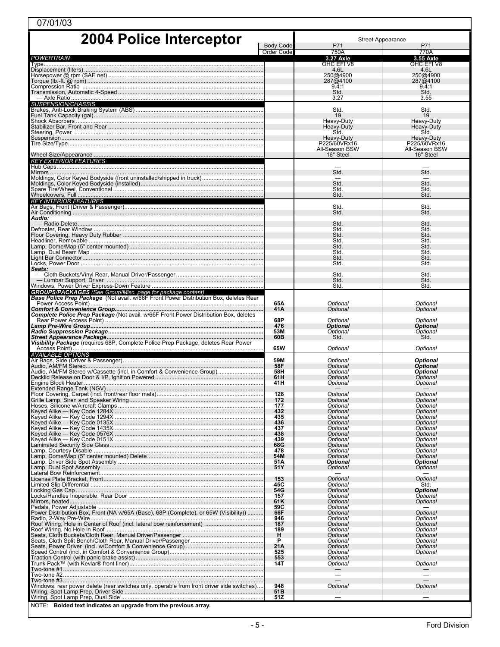| 07/01/03                                                                                                                                            |                          |                                           |                                |  |
|-----------------------------------------------------------------------------------------------------------------------------------------------------|--------------------------|-------------------------------------------|--------------------------------|--|
| 2004 Police Interceptor                                                                                                                             | <b>Street Appearance</b> |                                           |                                |  |
|                                                                                                                                                     | <b>Body Code</b>         | P71                                       | P71                            |  |
|                                                                                                                                                     | Order Code               | 750A                                      | 770A                           |  |
| POWERTRAIN                                                                                                                                          |                          | 3.27 Axle                                 | 3.55 Axle                      |  |
|                                                                                                                                                     |                          | OHC EFI V8<br>4.6L                        | OHC EFIV8<br>4.6L<br>250@4900  |  |
|                                                                                                                                                     |                          | 250@4900<br>287@4100                      | 287@4100                       |  |
|                                                                                                                                                     |                          | 9.4:1<br>Std.                             | 9.4:1<br>Std.                  |  |
| <b>SUSPENSION/CHASSIS</b>                                                                                                                           |                          | 3.27                                      | 3.55                           |  |
|                                                                                                                                                     |                          | Std.                                      | Std.                           |  |
|                                                                                                                                                     |                          | 19                                        | 19                             |  |
|                                                                                                                                                     |                          | Heavy-Duty                                | Heavy-Duty                     |  |
|                                                                                                                                                     |                          | Heavy-Duty                                | Heavy-Duty                     |  |
|                                                                                                                                                     |                          | Std.                                      | Std.                           |  |
|                                                                                                                                                     |                          | Heavy-Duty                                | Heavy-Duty                     |  |
|                                                                                                                                                     |                          | P225/60VRx16<br>All-Season BSW            | P225/60VRx16<br>All-Season BSW |  |
| <b>KEY EXTERIOR FEATURES</b>                                                                                                                        |                          | 16" Steel                                 | 16" Steel                      |  |
|                                                                                                                                                     |                          | Std.                                      | Std.                           |  |
|                                                                                                                                                     |                          | Std.                                      | Std.                           |  |
|                                                                                                                                                     |                          | Std.                                      | Std.                           |  |
|                                                                                                                                                     |                          | Std.                                      | Std.                           |  |
| <b>KEY INTERIOR FEATURES</b>                                                                                                                        |                          | Std.                                      | Std.                           |  |
| Audio:                                                                                                                                              |                          | Std.                                      | Std.                           |  |
|                                                                                                                                                     |                          | Std.                                      | Std.                           |  |
|                                                                                                                                                     |                          | Std.                                      | Std.                           |  |
|                                                                                                                                                     |                          | Std.                                      | Std.                           |  |
|                                                                                                                                                     |                          | Std.                                      | Std.                           |  |
|                                                                                                                                                     |                          | Std.                                      | Std.                           |  |
|                                                                                                                                                     |                          | Std.                                      | Std.                           |  |
|                                                                                                                                                     |                          | Std.                                      | Std.                           |  |
|                                                                                                                                                     |                          | Std.                                      | Std.                           |  |
| Seats:                                                                                                                                              |                          | Std.                                      | Std.                           |  |
| — Lumbar Support, Driver …………………………………………………………………………………                                                                                            |                          | Std.                                      | Std.                           |  |
|                                                                                                                                                     |                          | Std.                                      | Std.                           |  |
| GROUPS/PACKAGES (See Group/Misc. page for package content)<br>Base Police Prep Package (Not avail. w/66F Front Power Distribution Box, deletes Rear |                          |                                           |                                |  |
|                                                                                                                                                     | 65A                      | Optional                                  | Optional                       |  |
|                                                                                                                                                     | 41A                      | Optional                                  | Optional                       |  |
| <b>Complete Police Prep Package</b> (Not avail. w/66F Front Power Distribution Box, deletes                                                         | 68P                      | Optional                                  | Optional                       |  |
| Lamp Pre-Wire Group…………………………………………………………………………………………                                                                                               | 476                      | <b>Optional</b>                           | <b>Optional</b>                |  |
|                                                                                                                                                     | 53M                      | Optional                                  | Optional                       |  |
| Visibility Package (requires 68P, Complete Police Prep Package, deletes Rear Power                                                                  | 60B                      | Std.                                      | Std.                           |  |
| <b>AVAILABLE OPTIONS</b>                                                                                                                            | 65W                      | Optional                                  | Optional                       |  |
|                                                                                                                                                     | 59M                      | Optional                                  | <b>Optional</b>                |  |
|                                                                                                                                                     | 58F                      | Optional                                  | <b>Optional</b>                |  |
| Audio, AM/FM Stereo w/Cassette (incl. in Comfort & Convenience Group)                                                                               | 58H                      | Optional                                  | <b>Optional</b>                |  |
|                                                                                                                                                     | 61H                      | <b>Optional</b>                           | Optional                       |  |
|                                                                                                                                                     | 41 H                     | Optional                                  | Optional                       |  |
|                                                                                                                                                     | 128                      | Optional                                  | Optional                       |  |
|                                                                                                                                                     | 172                      | Optional                                  | Optional                       |  |
|                                                                                                                                                     | 177                      | Optional                                  | Optional                       |  |
|                                                                                                                                                     | 432                      | Optional                                  | Optional                       |  |
|                                                                                                                                                     | 435                      | Optional                                  | Optional                       |  |
|                                                                                                                                                     | 436                      | Optional                                  | Optional                       |  |
|                                                                                                                                                     | 437                      | Optional                                  | Optional                       |  |
|                                                                                                                                                     | 438                      | Optional                                  | Optional                       |  |
|                                                                                                                                                     | 439                      | Optional                                  | Optional                       |  |
|                                                                                                                                                     | 68G                      | Optional                                  | Optional                       |  |
|                                                                                                                                                     | 478                      | Optional                                  | Optional                       |  |
|                                                                                                                                                     | 54M                      | Optional                                  | Optional                       |  |
|                                                                                                                                                     | 51A                      | <b>Optional</b>                           | <b>Optional</b>                |  |
|                                                                                                                                                     | 51Y                      | Optional                                  | Optional                       |  |
|                                                                                                                                                     | 153                      | Optional                                  | Optional                       |  |
|                                                                                                                                                     | 45C                      | Optional                                  | Std.                           |  |
|                                                                                                                                                     | 54G                      | Optional                                  | <b>Optional</b>                |  |
|                                                                                                                                                     | 157                      | Optional                                  | Optional                       |  |
|                                                                                                                                                     | 61K                      | Optional                                  | Optional                       |  |
|                                                                                                                                                     | 59C                      | Optional                                  | Optional                       |  |
| Power Distribution Box, Front (NA w/65A (Base), 68P (Complete), or 65W (Visibility))                                                                | 66F                      | Optional                                  |                                |  |
|                                                                                                                                                     | 946                      | Optional                                  | Optional                       |  |
|                                                                                                                                                     | 187                      | Optional                                  | Optional                       |  |
|                                                                                                                                                     | 189                      | Optional                                  | Optional                       |  |
|                                                                                                                                                     | н                        | Optional                                  | Optional                       |  |
|                                                                                                                                                     | P                        | Optional                                  | Optional                       |  |
|                                                                                                                                                     | 21A                      | Optional                                  | Optional                       |  |
|                                                                                                                                                     | 525<br>553               | Optional                                  | Optional                       |  |
|                                                                                                                                                     | 14T                      | Optional<br>Optional                      | Optional                       |  |
|                                                                                                                                                     |                          | $\overline{\phantom{0}}$<br>$\mathcal{L}$ |                                |  |
| Windows, rear power delete (rear switches only, operable from front driver side switches)                                                           | 948<br>51B               | Optional                                  | Optional                       |  |
|                                                                                                                                                     | 51Z                      |                                           |                                |  |
| NOTE: Bolded text indicates an upgrade from the previous array.                                                                                     |                          |                                           |                                |  |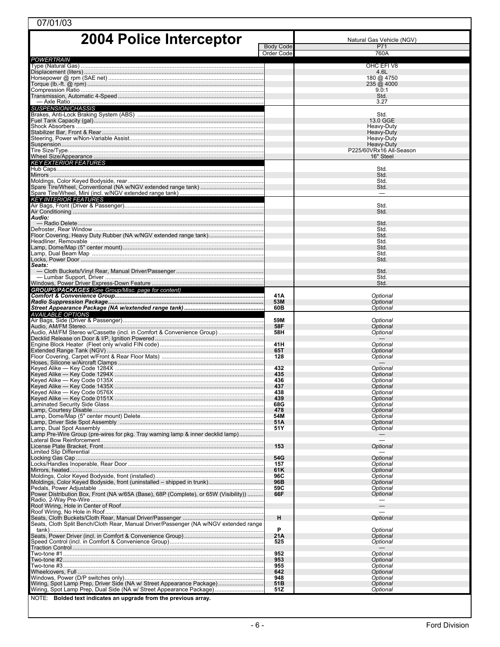| 07/01/03                                                                                                                               |                  |                                       |  |  |  |
|----------------------------------------------------------------------------------------------------------------------------------------|------------------|---------------------------------------|--|--|--|
| <b>2004 Police Interceptor</b>                                                                                                         |                  | Natural Gas Vehicle (NGV)             |  |  |  |
|                                                                                                                                        | <b>Body Code</b> | P71                                   |  |  |  |
| <b>POWERTRAIN</b>                                                                                                                      | Order Code       | 760A                                  |  |  |  |
|                                                                                                                                        |                  | OHC EFIV8<br>4.6L                     |  |  |  |
|                                                                                                                                        |                  | 180 @ 4750                            |  |  |  |
|                                                                                                                                        |                  | 235 @ 4000<br>9.0:1                   |  |  |  |
|                                                                                                                                        |                  | Std.<br>3.27                          |  |  |  |
| <b>SUSPENSION/CHASSIS</b>                                                                                                              |                  |                                       |  |  |  |
|                                                                                                                                        |                  | Std.<br>13.0 GGE                      |  |  |  |
|                                                                                                                                        |                  | Heavy-Duty<br>Heavy-Duty              |  |  |  |
|                                                                                                                                        |                  | Heavy-Duty                            |  |  |  |
|                                                                                                                                        |                  | Heavy-Duty<br>P225/60VRx16 All-Season |  |  |  |
| <b>KEY EXTERIOR FEATURES</b>                                                                                                           |                  | 16" Steel                             |  |  |  |
|                                                                                                                                        |                  | Std.                                  |  |  |  |
|                                                                                                                                        |                  | Std.<br>Std.                          |  |  |  |
|                                                                                                                                        |                  | Std.                                  |  |  |  |
| <b>KEY INTERIOR FEATURES</b>                                                                                                           |                  |                                       |  |  |  |
|                                                                                                                                        |                  | Std.<br>Std.                          |  |  |  |
| Audio:                                                                                                                                 |                  | Std.                                  |  |  |  |
|                                                                                                                                        |                  | Std.                                  |  |  |  |
| Floor Covering, Heavy Duty Rubber (NA w/NGV extended range tank)                                                                       |                  | Std.<br>Std.                          |  |  |  |
|                                                                                                                                        |                  | Std.                                  |  |  |  |
|                                                                                                                                        |                  | Std.<br>Std.                          |  |  |  |
| Seats:                                                                                                                                 |                  | Std.                                  |  |  |  |
|                                                                                                                                        |                  | Std.<br>Std.                          |  |  |  |
| <b>GROUPS/PACKAGES</b> (See Group/Misc. page for content)                                                                              |                  |                                       |  |  |  |
|                                                                                                                                        | 41A<br>53M       | Optional<br>Optional                  |  |  |  |
| <b>AVAILABLE OPTIONS</b>                                                                                                               | 60B              | Optional                              |  |  |  |
|                                                                                                                                        | 59M              | Optional                              |  |  |  |
| Audio, AM/FM Stereo w/Cassette (incl. in Comfort & Convenience Group)                                                                  | 58F<br>58H       | Optional<br>Optional                  |  |  |  |
|                                                                                                                                        | 41H              | Optional                              |  |  |  |
|                                                                                                                                        | 65T              | Optional                              |  |  |  |
|                                                                                                                                        | 128              | Optional                              |  |  |  |
|                                                                                                                                        | 432<br>435       | Optional<br>Optional                  |  |  |  |
| Keyed Alike - Key Code 1435X.                                                                                                          | 436<br>437       | Optional<br>Optional                  |  |  |  |
|                                                                                                                                        | 438              | Optional                              |  |  |  |
|                                                                                                                                        | 439<br>68G       | Optional<br>Optional                  |  |  |  |
|                                                                                                                                        | 478<br>54M       | Optional<br>Optional                  |  |  |  |
|                                                                                                                                        | 51A              | Optional                              |  |  |  |
| Lamp Pre-Wire Group (pre-wires for pkg. Tray warning lamp & inner decklid lamp)                                                        | 51Y              | Optional                              |  |  |  |
|                                                                                                                                        | 153              | Optional                              |  |  |  |
|                                                                                                                                        | 54G              | <b>Optional</b>                       |  |  |  |
|                                                                                                                                        | 157              | Optional                              |  |  |  |
|                                                                                                                                        | 61K<br>96C       | Optional<br>Optional                  |  |  |  |
|                                                                                                                                        | 96B<br>59C       | Optional<br>Optional                  |  |  |  |
| Power Distribution Box, Front (NA w/65A (Base), 68P (Complete), or 65W (Visibility))                                                   | 66F              | Optional                              |  |  |  |
|                                                                                                                                        |                  | $\overline{\phantom{0}}$              |  |  |  |
|                                                                                                                                        | н                | Optional                              |  |  |  |
| Seats, Cloth Split Bench/Cloth Rear, Manual Driver/Passenger (NA w/NGV extended range                                                  | P                |                                       |  |  |  |
|                                                                                                                                        | 21A              | Optional<br>Optional                  |  |  |  |
|                                                                                                                                        | 525              | Optional                              |  |  |  |
|                                                                                                                                        | 952              | Optional                              |  |  |  |
|                                                                                                                                        | 953<br>955       | Optional<br>Optional                  |  |  |  |
|                                                                                                                                        | 642<br>948       | Optional<br>Optional                  |  |  |  |
| Wiring, Spot Lamp Prep, Driver Side (NA w/ Street Appearance Package)                                                                  | 51B<br>51Z       | Optional<br>Optional                  |  |  |  |
| Wiring, Spot Lamp Prep, Dual Side (NA w/ Street Appearance Package)<br>NOTE: Bolded text indicates an upgrade from the previous array. |                  |                                       |  |  |  |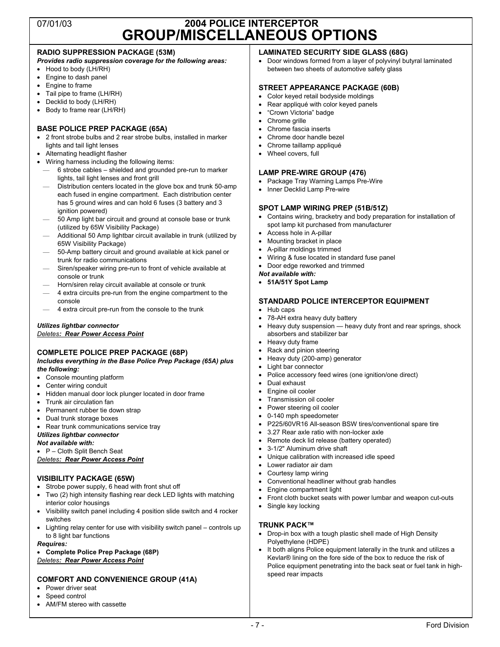# 07/01/03 **2004 POLICE INTERCEPTOR GROUP/MISCELLANEOUS OPTIONS**

#### **RADIO SUPPRESSION PACKAGE (53M)**

*Provides radio suppression coverage for the following areas:*

- Hood to body (LH/RH)
- Engine to dash panel
- Engine to frame
- Tail pipe to frame (LH/RH)
- Decklid to body (LH/RH)
- Body to frame rear (LH/RH)

## **BASE POLICE PREP PACKAGE (65A)**

- 2 front strobe bulbs and 2 rear strobe bulbs, installed in marker lights and tail light lenses
- Alternating headlight flasher
- Wiring harness including the following items:
	- 6 strobe cables shielded and grounded pre-run to marker lights, tail light lenses and front grill
	- Distribution centers located in the glove box and trunk 50-amp each fused in engine compartment. Each distribution center has 5 ground wires and can hold 6 fuses (3 battery and 3 ignition powered)
	- 50 Amp light bar circuit and ground at console base or trunk (utilized by 65W Visibility Package)
	- Additional 50 Amp lightbar circuit available in trunk (utilized by 65W Visibility Package)
	- 50-Amp battery circuit and ground available at kick panel or trunk for radio communications
	- Siren/speaker wiring pre-run to front of vehicle available at console or trunk
	- Horn/siren relay circuit available at console or trunk
	- 4 extra circuits pre-run from the engine compartment to the console
	- 4 extra circuit pre-run from the console to the trunk

### *Utilizes lightbar connector*

*Deletes: Rear Power Access Point*

#### **COMPLETE POLICE PREP PACKAGE (68P)**

*Includes everything in the Base Police Prep Package (65A) plus the following:*

- Console mounting platform
- Center wiring conduit
- Hidden manual door lock plunger located in door frame
- Trunk air circulation fan
- Permanent rubber tie down strap
- Dual trunk storage boxes
- Rear trunk communications service tray

## *Utilizes lightbar connector*

*Not available with:*

• P – Cloth Split Bench Seat

#### *Deletes: Rear Power Access Point*

#### **VISIBILITY PACKAGE (65W)**

- Strobe power supply, 6 head with front shut off
- Two (2) high intensity flashing rear deck LED lights with matching interior color housings
- Visibility switch panel including 4 position slide switch and 4 rocker switches
- Lighting relay center for use with visibility switch panel controls up to 8 light bar functions

#### *Requires:*

## • **Complete Police Prep Package (68P)**

*Deletes: Rear Power Access Point*

## **COMFORT AND CONVENIENCE GROUP (41A)**

- Power driver seat
- Speed control
- AM/FM stereo with cassette

## **LAMINATED SECURITY SIDE GLASS (68G)**

• Door windows formed from a layer of polyvinyl butyral laminated between two sheets of automotive safety glass

#### **STREET APPEARANCE PACKAGE (60B)**

- Color keyed retail bodyside moldings
- Rear appliqué with color keyed panels
- "Crown Victoria" badge
- Chrome grille
- Chrome fascia inserts
- Chrome door handle bezel
- Chrome taillamp appliqué
- Wheel covers, full

#### **LAMP PRE-WIRE GROUP (476)**

- Package Tray Warning Lamps Pre-Wire
- Inner Decklid Lamp Pre-wire

#### **SPOT LAMP WIRING PREP (51B/51Z)**

- Contains wiring, bracketry and body preparation for installation of spot lamp kit purchased from manufacturer
- Access hole in A-pillar
- Mounting bracket in place
- A-pillar moldings trimmed
- Wiring & fuse located in standard fuse panel
- Door edge reworked and trimmed

#### *Not available with:*

• **51A/51Y Spot Lamp**

#### **STANDARD POLICE INTERCEPTOR EQUIPMENT**

#### • Hub caps

- 78-AH extra heavy duty battery
- Heavy duty suspension heavy duty front and rear springs, shock absorbers and stabilizer bar
- Heavy duty frame
- Rack and pinion steering
- Heavy duty (200-amp) generator
- Light bar connector
- Police accessory feed wires (one ignition/one direct)
- Dual exhaust
- Engine oil cooler
- Transmission oil cooler
- Power steering oil cooler
- 0-140 mph speedometer
- P225/60VR16 All-season BSW tires/conventional spare tire
- 3.27 Rear axle ratio with non-locker axle
- Remote deck lid release (battery operated)
- 3-1/2" Aluminum drive shaft
- Unique calibration with increased idle speed
- Lower radiator air dam
- Courtesy lamp wiring
- Conventional headliner without grab handles
- Engine compartment light
- Front cloth bucket seats with power lumbar and weapon cut-outs
- Single key locking

## **TRUNK PACK™**

speed rear impacts

example 2 and 2 and 2 and 2 and 2 and 2 and 2 and 2 and 2 and 2 and 2 and 2 and 2 and 2 and 2 and 2 and 2 and 2 and 2 and 2 and 2 and 2 and 2 and 2 and 2 and 2 and 2 and 2 and 2 and 2 and 2 and 2 and 2 and 2 and 2 and 2 an

• Drop-in box with a tough plastic shell made of High Density Polyethylene (HDPE) It both aligns Police equipment laterally in the trunk and utilizes a

Kevlar® lining on the fore side of the box to reduce the risk of Police equipment penetrating into the back seat or fuel tank in high-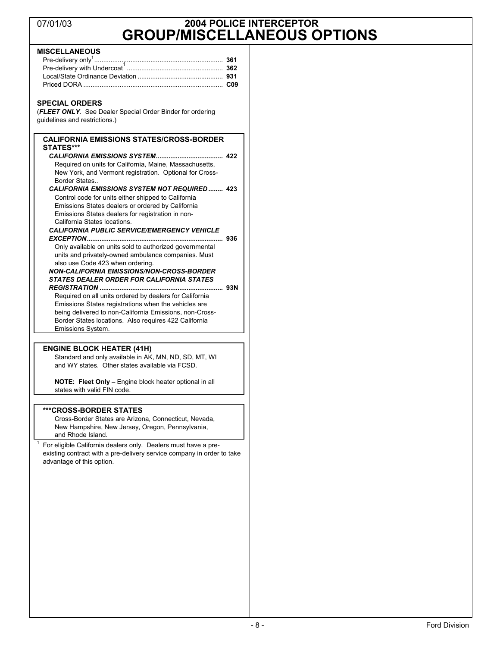# 07/01/03 **2004 POLICE INTERCEPTOR GROUP/MISCELLANEOUS OPTIONS**

### **MISCELLANEOUS**

#### **SPECIAL ORDERS**

(*FLEET ONLY*. See Dealer Special Order Binder for ordering guidelines and restrictions.)

#### **CALIFORNIA EMISSIONS STATES/CROSS-BORDER STATES\*\*\***

| Required on units for California, Maine, Massachusetts, |  |
|---------------------------------------------------------|--|
| New York, and Vermont registration. Optional for Cross- |  |
| Border States                                           |  |

#### *CALIFORNIA EMISSIONS SYSTEM NOT REQUIRED ........* **423**  Control code for units either shipped to California Emissions States dealers or ordered by California Emissions States dealers for registration in non-California States locations.

#### *CALIFORNIA PUBLIC SERVICE/EMERGENCY VEHICLE*

*EXCEPTION...........................................................................* **936**  Only available on units sold to authorized governmental units and privately-owned ambulance companies. Must also use Code 423 when ordering.

#### *NON-CALIFORNIA EMISSIONS/NON-CROSS-BORDER STATES DEALER ORDER FOR CALIFORNIA STATES REGISTRATION ....................................................................* **93N**

Required on all units ordered by dealers for California Emissions States registrations when the vehicles are being delivered to non-California Emissions, non-Cross-Border States locations. Also requires 422 California Emissions System.

#### **ENGINE BLOCK HEATER (41H)**

Standard and only available in AK, MN, ND, SD, MT, WI and WY states. Other states available via FCSD.

**NOTE: Fleet Only –** Engine block heater optional in all states with valid FIN code.

#### **\*\*\*CROSS-BORDER STATES**

1

Cross-Border States are Arizona, Connecticut, Nevada, New Hampshire, New Jersey, Oregon, Pennsylvania, and Rhode Island.

 For eligible California dealers only. Dealers must have a preexisting contract with a pre-delivery service company in order to take advantage of this option.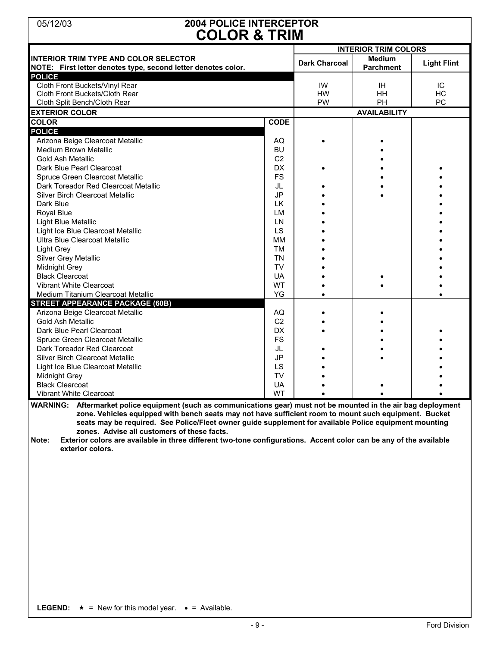# 05/12/03 **2004 POLICE INTERCEPTOR COLOR & TRIM**

|                                                                                                                                                                                                                                                                                                                                                                                                                                                                                                                                        |                | <b>INTERIOR TRIM COLORS</b> |                                   |                    |  |
|----------------------------------------------------------------------------------------------------------------------------------------------------------------------------------------------------------------------------------------------------------------------------------------------------------------------------------------------------------------------------------------------------------------------------------------------------------------------------------------------------------------------------------------|----------------|-----------------------------|-----------------------------------|--------------------|--|
| <b>INTERIOR TRIM TYPE AND COLOR SELECTOR</b><br>NOTE: First letter denotes type, second letter denotes color.                                                                                                                                                                                                                                                                                                                                                                                                                          |                | <b>Dark Charcoal</b>        | <b>Medium</b><br><b>Parchment</b> | <b>Light Flint</b> |  |
| <b>POLICE</b>                                                                                                                                                                                                                                                                                                                                                                                                                                                                                                                          |                |                             |                                   |                    |  |
| Cloth Front Buckets/Vinyl Rear                                                                                                                                                                                                                                                                                                                                                                                                                                                                                                         |                | IW                          | <b>IH</b>                         | IC                 |  |
| Cloth Front Buckets/Cloth Rear                                                                                                                                                                                                                                                                                                                                                                                                                                                                                                         |                | HW                          | HH                                | HC                 |  |
| Cloth Split Bench/Cloth Rear                                                                                                                                                                                                                                                                                                                                                                                                                                                                                                           |                | PW                          | PH                                | PC                 |  |
| <b>EXTERIOR COLOR</b>                                                                                                                                                                                                                                                                                                                                                                                                                                                                                                                  |                |                             | <b>AVAILABILITY</b>               |                    |  |
| <b>COLOR</b>                                                                                                                                                                                                                                                                                                                                                                                                                                                                                                                           | <b>CODE</b>    |                             |                                   |                    |  |
| <b>POLICE</b>                                                                                                                                                                                                                                                                                                                                                                                                                                                                                                                          |                |                             |                                   |                    |  |
| Arizona Beige Clearcoat Metallic                                                                                                                                                                                                                                                                                                                                                                                                                                                                                                       | AQ             |                             |                                   |                    |  |
| <b>Medium Brown Metallic</b>                                                                                                                                                                                                                                                                                                                                                                                                                                                                                                           | <b>BU</b>      |                             |                                   |                    |  |
| Gold Ash Metallic                                                                                                                                                                                                                                                                                                                                                                                                                                                                                                                      | C <sub>2</sub> |                             |                                   |                    |  |
| Dark Blue Pearl Clearcoat                                                                                                                                                                                                                                                                                                                                                                                                                                                                                                              | <b>DX</b>      |                             |                                   |                    |  |
| Spruce Green Clearcoat Metallic                                                                                                                                                                                                                                                                                                                                                                                                                                                                                                        | <b>FS</b>      |                             |                                   |                    |  |
| Dark Toreador Red Clearcoat Metallic                                                                                                                                                                                                                                                                                                                                                                                                                                                                                                   | JL             |                             |                                   |                    |  |
| <b>Silver Birch Clearcoat Metallic</b>                                                                                                                                                                                                                                                                                                                                                                                                                                                                                                 | JP             |                             |                                   |                    |  |
| Dark Blue                                                                                                                                                                                                                                                                                                                                                                                                                                                                                                                              | LK.            |                             |                                   |                    |  |
| Royal Blue                                                                                                                                                                                                                                                                                                                                                                                                                                                                                                                             | LM             |                             |                                   |                    |  |
| Light Blue Metallic                                                                                                                                                                                                                                                                                                                                                                                                                                                                                                                    | LN             |                             |                                   |                    |  |
| Light Ice Blue Clearcoat Metallic                                                                                                                                                                                                                                                                                                                                                                                                                                                                                                      | LS             |                             |                                   |                    |  |
| Ultra Blue Clearcoat Metallic                                                                                                                                                                                                                                                                                                                                                                                                                                                                                                          | MM             |                             |                                   |                    |  |
| Light Grey                                                                                                                                                                                                                                                                                                                                                                                                                                                                                                                             | <b>TM</b>      |                             |                                   |                    |  |
| <b>Silver Grey Metallic</b>                                                                                                                                                                                                                                                                                                                                                                                                                                                                                                            | <b>TN</b>      |                             |                                   |                    |  |
| Midnight Grey                                                                                                                                                                                                                                                                                                                                                                                                                                                                                                                          | <b>TV</b>      |                             |                                   |                    |  |
| <b>Black Clearcoat</b>                                                                                                                                                                                                                                                                                                                                                                                                                                                                                                                 | UA             |                             |                                   |                    |  |
| Vibrant White Clearcoat                                                                                                                                                                                                                                                                                                                                                                                                                                                                                                                | WT             |                             |                                   |                    |  |
| Medium Titanium Clearcoat Metallic                                                                                                                                                                                                                                                                                                                                                                                                                                                                                                     | YG             |                             |                                   |                    |  |
| <b>STREET APPEARANCE PACKAGE (60B)</b>                                                                                                                                                                                                                                                                                                                                                                                                                                                                                                 |                |                             |                                   |                    |  |
| Arizona Beige Clearcoat Metallic                                                                                                                                                                                                                                                                                                                                                                                                                                                                                                       | AQ             |                             |                                   |                    |  |
| Gold Ash Metallic                                                                                                                                                                                                                                                                                                                                                                                                                                                                                                                      | C <sub>2</sub> |                             |                                   |                    |  |
| Dark Blue Pearl Clearcoat                                                                                                                                                                                                                                                                                                                                                                                                                                                                                                              | DX             |                             |                                   |                    |  |
| Spruce Green Clearcoat Metallic                                                                                                                                                                                                                                                                                                                                                                                                                                                                                                        | <b>FS</b>      |                             |                                   |                    |  |
| Dark Toreador Red Clearcoat                                                                                                                                                                                                                                                                                                                                                                                                                                                                                                            | JL             |                             |                                   |                    |  |
| <b>Silver Birch Clearcoat Metallic</b>                                                                                                                                                                                                                                                                                                                                                                                                                                                                                                 | JP             |                             |                                   |                    |  |
| Light Ice Blue Clearcoat Metallic                                                                                                                                                                                                                                                                                                                                                                                                                                                                                                      | LS             |                             |                                   |                    |  |
| Midnight Grey                                                                                                                                                                                                                                                                                                                                                                                                                                                                                                                          | TV             |                             |                                   |                    |  |
| <b>Black Clearcoat</b>                                                                                                                                                                                                                                                                                                                                                                                                                                                                                                                 | <b>UA</b>      |                             |                                   |                    |  |
| Vibrant White Clearcoat                                                                                                                                                                                                                                                                                                                                                                                                                                                                                                                | WT             |                             |                                   |                    |  |
|                                                                                                                                                                                                                                                                                                                                                                                                                                                                                                                                        |                |                             |                                   |                    |  |
| WARNING: Aftermarket police equipment (such as communications gear) must not be mounted in the air bag deployment<br>zone. Vehicles equipped with bench seats may not have sufficient room to mount such equipment. Bucket<br>seats may be required. See Police/Fleet owner guide supplement for available Police equipment mounting<br>zones. Advise all customers of these facts.<br>Exterior colors are available in three different two-tone configurations. Accent color can be any of the available<br>Note:<br>exterior colors. |                |                             |                                   |                    |  |